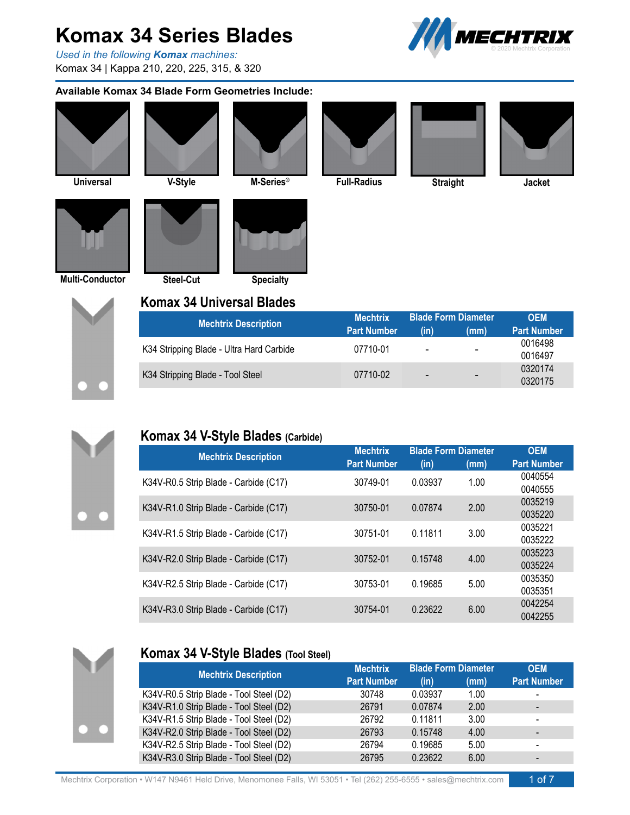*Used in the following Komax machines:* Komax 34 | Kappa 210, 220, 225, 315, & 320

#### **Available Komax 34 Blade Form Geometries Include:**



0320174 0320175

- -

**Straight Multi-Conductor Steel-Cut Specialty V-Style M-Series Full-Radius Jacket ® Universal Komax 34 Universal Blades Mechtrix OEM Part Number (in) (mm) Part Number** 0016498 0016497 - - K34 Stripping Blade - Ultra Hard Carbide 07710-01 **Mechtrix Description** 



#### **Komax 34 V-Style Blades (Carbide)**

K34 Stripping Blade - Tool Steel

| <b>Mechtrix Description</b>           | <b>Mechtrix</b>    | <b>Blade Form Diameter</b> |      | <b>OEM</b>         |
|---------------------------------------|--------------------|----------------------------|------|--------------------|
|                                       | <b>Part Number</b> | (in)                       | (mm) | <b>Part Number</b> |
| K34V-R0.5 Strip Blade - Carbide (C17) | 30749-01           | 0.03937                    | 1.00 | 0040554<br>0040555 |
| K34V-R1.0 Strip Blade - Carbide (C17) | 30750-01           | 0.07874                    | 2.00 | 0035219<br>0035220 |
| K34V-R1.5 Strip Blade - Carbide (C17) | 30751-01           | 0.11811                    | 3.00 | 0035221<br>0035222 |
| K34V-R2.0 Strip Blade - Carbide (C17) | 30752-01           | 0.15748                    | 4.00 | 0035223<br>0035224 |
| K34V-R2.5 Strip Blade - Carbide (C17) | 30753-01           | 0.19685                    | 5.00 | 0035350<br>0035351 |
| K34V-R3.0 Strip Blade - Carbide (C17) | 30754-01           | 0.23622                    | 6.00 | 0042254<br>0042255 |

07710-02



#### **Komax 34 V-Style Blades (Tool Steel)**

| <b>Mechtrix Description</b>             | <b>Mechtrix</b>    | <b>Blade Form Diameter</b> |      | <b>OEM</b>                   |
|-----------------------------------------|--------------------|----------------------------|------|------------------------------|
|                                         | <b>Part Number</b> | (in)                       | (mm) | <b>Part Number</b>           |
| K34V-R0.5 Strip Blade - Tool Steel (D2) | 30748              | 0.03937                    | 1.00 | $\overline{\phantom{0}}$     |
| K34V-R1.0 Strip Blade - Tool Steel (D2) | 26791              | 0.07874                    | 2.00 | $\overline{\phantom{0}}$     |
| K34V-R1.5 Strip Blade - Tool Steel (D2) | 26792              | 0.11811                    | 3.00 | $\overline{\phantom{a}}$     |
| K34V-R2.0 Strip Blade - Tool Steel (D2) | 26793              | 0.15748                    | 4.00 | $\qquad \qquad \blacksquare$ |
| K34V-R2.5 Strip Blade - Tool Steel (D2) | 26794              | 0.19685                    | 5.00 | $\overline{\phantom{a}}$     |
| K34V-R3.0 Strip Blade - Tool Steel (D2) | 26795              | 0.23622                    | 6.00 |                              |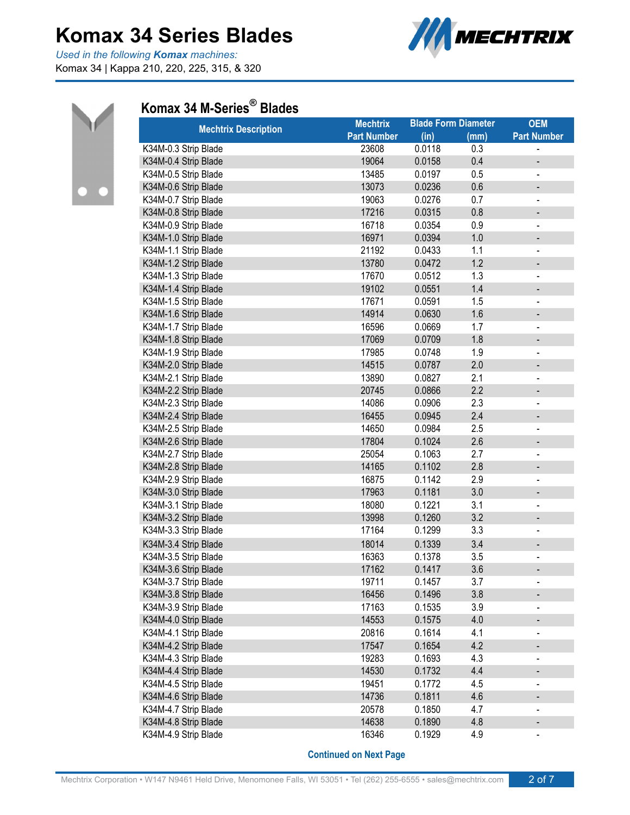*Used in the following Komax machines:* Komax 34 | Kappa 210, 220, 225, 315, & 320





### **Komax 34 M-Series ® Blades**

| <b>Mechtrix Description</b> | <b>Mechtrix</b>    | <b>Blade Form Diameter</b> |      | <b>OEM</b>                   |
|-----------------------------|--------------------|----------------------------|------|------------------------------|
|                             | <b>Part Number</b> | (in)                       | (mm) | <b>Part Number</b>           |
| K34M-0.3 Strip Blade        | 23608              | 0.0118                     | 0.3  |                              |
| K34M-0.4 Strip Blade        | 19064              | 0.0158                     | 0.4  |                              |
| K34M-0.5 Strip Blade        | 13485              | 0.0197                     | 0.5  |                              |
| K34M-0.6 Strip Blade        | 13073              | 0.0236                     | 0.6  |                              |
| K34M-0.7 Strip Blade        | 19063              | 0.0276                     | 0.7  | $\qquad \qquad \blacksquare$ |
| K34M-0.8 Strip Blade        | 17216              | 0.0315                     | 0.8  |                              |
| K34M-0.9 Strip Blade        | 16718              | 0.0354                     | 0.9  | $\qquad \qquad \blacksquare$ |
| K34M-1.0 Strip Blade        | 16971              | 0.0394                     | 1.0  |                              |
| K34M-1.1 Strip Blade        | 21192              | 0.0433                     | 1.1  |                              |
| K34M-1.2 Strip Blade        | 13780              | 0.0472                     | 1.2  | $\overline{\phantom{0}}$     |
| K34M-1.3 Strip Blade        | 17670              | 0.0512                     | 1.3  |                              |
| K34M-1.4 Strip Blade        | 19102              | 0.0551                     | 1.4  |                              |
| K34M-1.5 Strip Blade        | 17671              | 0.0591                     | 1.5  | $\qquad \qquad \blacksquare$ |
| K34M-1.6 Strip Blade        | 14914              | 0.0630                     | 1.6  |                              |
| K34M-1.7 Strip Blade        | 16596              | 0.0669                     | 1.7  | $\qquad \qquad \blacksquare$ |
| K34M-1.8 Strip Blade        | 17069              | 0.0709                     | 1.8  | -                            |
| K34M-1.9 Strip Blade        | 17985              | 0.0748                     | 1.9  | $\blacksquare$               |
| K34M-2.0 Strip Blade        | 14515              | 0.0787                     | 2.0  | -                            |
| K34M-2.1 Strip Blade        | 13890              | 0.0827                     | 2.1  | $\qquad \qquad \blacksquare$ |
| K34M-2.2 Strip Blade        | 20745              | 0.0866                     | 2.2  | -                            |
| K34M-2.3 Strip Blade        | 14086              | 0.0906                     | 2.3  | $\qquad \qquad \blacksquare$ |
| K34M-2.4 Strip Blade        | 16455              | 0.0945                     | 2.4  |                              |
| K34M-2.5 Strip Blade        | 14650              | 0.0984                     | 2.5  | $\qquad \qquad \blacksquare$ |
| K34M-2.6 Strip Blade        | 17804              | 0.1024                     | 2.6  |                              |
| K34M-2.7 Strip Blade        | 25054              | 0.1063                     | 2.7  |                              |
| K34M-2.8 Strip Blade        | 14165              | 0.1102                     | 2.8  |                              |
| K34M-2.9 Strip Blade        | 16875              | 0.1142                     | 2.9  |                              |
| K34M-3.0 Strip Blade        | 17963              | 0.1181                     | 3.0  |                              |
| K34M-3.1 Strip Blade        | 18080              | 0.1221                     | 3.1  |                              |
| K34M-3.2 Strip Blade        | 13998              | 0.1260                     | 3.2  |                              |
| K34M-3.3 Strip Blade        | 17164              | 0.1299                     | 3.3  |                              |
| K34M-3.4 Strip Blade        | 18014              | 0.1339                     | 3.4  |                              |
| K34M-3.5 Strip Blade        | 16363              | 0.1378                     | 3.5  |                              |
| K34M-3.6 Strip Blade        | 17162              | 0.1417                     | 3.6  |                              |
| K34M-3.7 Strip Blade        | 19711              | 0.1457                     | 3.7  | $\qquad \qquad \blacksquare$ |
| K34M-3.8 Strip Blade        | 16456              | 0.1496                     | 3.8  |                              |
| K34M-3.9 Strip Blade        | 17163              | 0.1535                     | 3.9  | $\qquad \qquad \blacksquare$ |
| K34M-4.0 Strip Blade        | 14553              | 0.1575                     | 4.0  |                              |
| K34M-4.1 Strip Blade        | 20816              | 0.1614                     | 4.1  | $\overline{\phantom{0}}$     |
| K34M-4.2 Strip Blade        | 17547              | 0.1654                     | 4.2  |                              |
| K34M-4.3 Strip Blade        | 19283              | 0.1693                     | 4.3  |                              |
| K34M-4.4 Strip Blade        | 14530              | 0.1732                     | 4.4  |                              |
| K34M-4.5 Strip Blade        | 19451              | 0.1772                     | 4.5  |                              |
| K34M-4.6 Strip Blade        | 14736              | 0.1811                     | 4.6  |                              |
| K34M-4.7 Strip Blade        | 20578              | 0.1850                     | 4.7  |                              |
| K34M-4.8 Strip Blade        | 14638              | 0.1890                     | 4.8  |                              |
| K34M-4.9 Strip Blade        | 16346              | 0.1929                     | 4.9  |                              |
|                             |                    |                            |      |                              |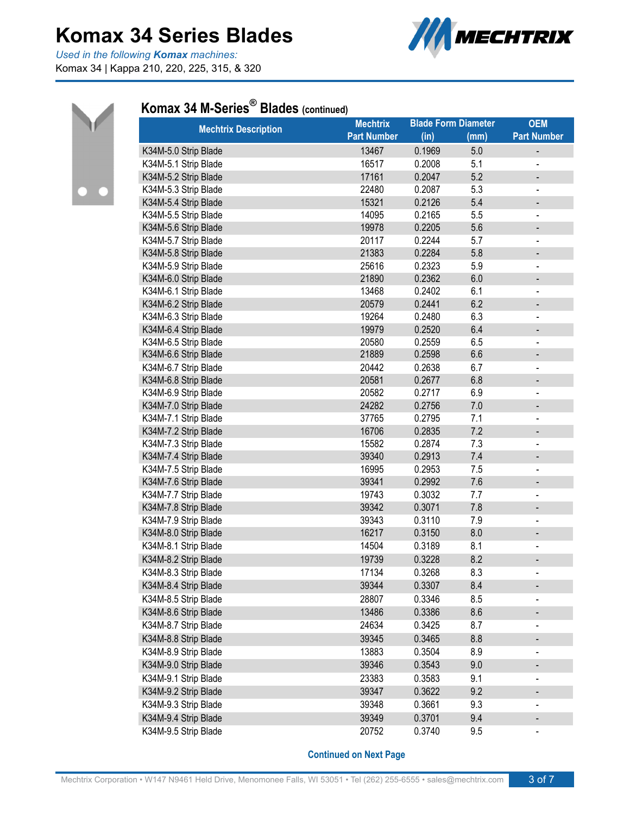*Used in the following Komax machines:* Komax 34 | Kappa 210, 220, 225, 315, & 320





### **Komax 34 M-Series ® Blades (continued)**

| <b>Mechtrix Description</b> | <b>Mechtrix</b>    |        | <b>Blade Form Diameter</b> | <b>OEM</b>                   |
|-----------------------------|--------------------|--------|----------------------------|------------------------------|
|                             | <b>Part Number</b> | (in)   | (mm)                       | <b>Part Number</b>           |
| K34M-5.0 Strip Blade        | 13467              | 0.1969 | 5.0                        |                              |
| K34M-5.1 Strip Blade        | 16517              | 0.2008 | 5.1                        | $\overline{\phantom{a}}$     |
| K34M-5.2 Strip Blade        | 17161              | 0.2047 | 5.2                        | $\overline{\phantom{0}}$     |
| K34M-5.3 Strip Blade        | 22480              | 0.2087 | 5.3                        | $\qquad \qquad \blacksquare$ |
| K34M-5.4 Strip Blade        | 15321              | 0.2126 | 5.4                        | -                            |
| K34M-5.5 Strip Blade        | 14095              | 0.2165 | 5.5                        | $\overline{\phantom{0}}$     |
| K34M-5.6 Strip Blade        | 19978              | 0.2205 | 5.6                        | -                            |
| K34M-5.7 Strip Blade        | 20117              | 0.2244 | 5.7                        | $\overline{\phantom{0}}$     |
| K34M-5.8 Strip Blade        | 21383              | 0.2284 | 5.8                        | -                            |
| K34M-5.9 Strip Blade        | 25616              | 0.2323 | 5.9                        | $\qquad \qquad \blacksquare$ |
| K34M-6.0 Strip Blade        | 21890              | 0.2362 | 6.0                        |                              |
| K34M-6.1 Strip Blade        | 13468              | 0.2402 | 6.1                        | $\qquad \qquad \blacksquare$ |
| K34M-6.2 Strip Blade        | 20579              | 0.2441 | 6.2                        | -                            |
| K34M-6.3 Strip Blade        | 19264              | 0.2480 | 6.3                        | -                            |
| K34M-6.4 Strip Blade        | 19979              | 0.2520 | 6.4                        | -                            |
| K34M-6.5 Strip Blade        | 20580              | 0.2559 | 6.5                        |                              |
| K34M-6.6 Strip Blade        | 21889              | 0.2598 | 6.6                        | $\qquad \qquad \blacksquare$ |
| K34M-6.7 Strip Blade        | 20442              | 0.2638 | 6.7                        | $\qquad \qquad \blacksquare$ |
| K34M-6.8 Strip Blade        | 20581              | 0.2677 | 6.8                        |                              |
| K34M-6.9 Strip Blade        | 20582              | 0.2717 | 6.9                        | $\overline{\phantom{a}}$     |
| K34M-7.0 Strip Blade        | 24282              | 0.2756 | 7.0                        | $\qquad \qquad \blacksquare$ |
| K34M-7.1 Strip Blade        | 37765              | 0.2795 | 7.1                        |                              |
| K34M-7.2 Strip Blade        | 16706              | 0.2835 | 7.2                        |                              |
| K34M-7.3 Strip Blade        | 15582              | 0.2874 | 7.3                        |                              |
| K34M-7.4 Strip Blade        | 39340              | 0.2913 | 7.4                        | -                            |
| K34M-7.5 Strip Blade        | 16995              | 0.2953 | 7.5                        |                              |
| K34M-7.6 Strip Blade        | 39341              | 0.2992 | 7.6                        | -                            |
| K34M-7.7 Strip Blade        | 19743              | 0.3032 | 7.7                        | $\overline{\phantom{a}}$     |
| K34M-7.8 Strip Blade        | 39342              | 0.3071 | 7.8                        |                              |
| K34M-7.9 Strip Blade        | 39343              | 0.3110 | 7.9                        |                              |
| K34M-8.0 Strip Blade        | 16217              | 0.3150 | 8.0                        | $\qquad \qquad \blacksquare$ |
| K34M-8.1 Strip Blade        | 14504              | 0.3189 | 8.1                        |                              |
| K34M-8.2 Strip Blade        | 19739              | 0.3228 | 8.2                        |                              |
| K34M-8.3 Strip Blade        | 17134              | 0.3268 | 8.3                        | $\overline{\phantom{a}}$     |
| K34M-8.4 Strip Blade        | 39344              | 0.3307 | 8.4                        |                              |
| K34M-8.5 Strip Blade        | 28807              | 0.3346 | 8.5                        |                              |
| K34M-8.6 Strip Blade        | 13486              | 0.3386 | 8.6                        |                              |
| K34M-8.7 Strip Blade        | 24634              | 0.3425 | 8.7                        |                              |
| K34M-8.8 Strip Blade        | 39345              | 0.3465 | 8.8                        | -                            |
| K34M-8.9 Strip Blade        | 13883              | 0.3504 | 8.9                        |                              |
| K34M-9.0 Strip Blade        | 39346              | 0.3543 | 9.0                        | $\qquad \qquad \blacksquare$ |
| K34M-9.1 Strip Blade        | 23383              | 0.3583 | 9.1                        | $\qquad \qquad \blacksquare$ |
| K34M-9.2 Strip Blade        | 39347              | 0.3622 | 9.2                        |                              |
| K34M-9.3 Strip Blade        | 39348              | 0.3661 | 9.3                        | $\qquad \qquad \blacksquare$ |
| K34M-9.4 Strip Blade        | 39349              | 0.3701 | 9.4                        | $\qquad \qquad \blacksquare$ |
| K34M-9.5 Strip Blade        | 20752              | 0.3740 | 9.5                        | $\blacksquare$               |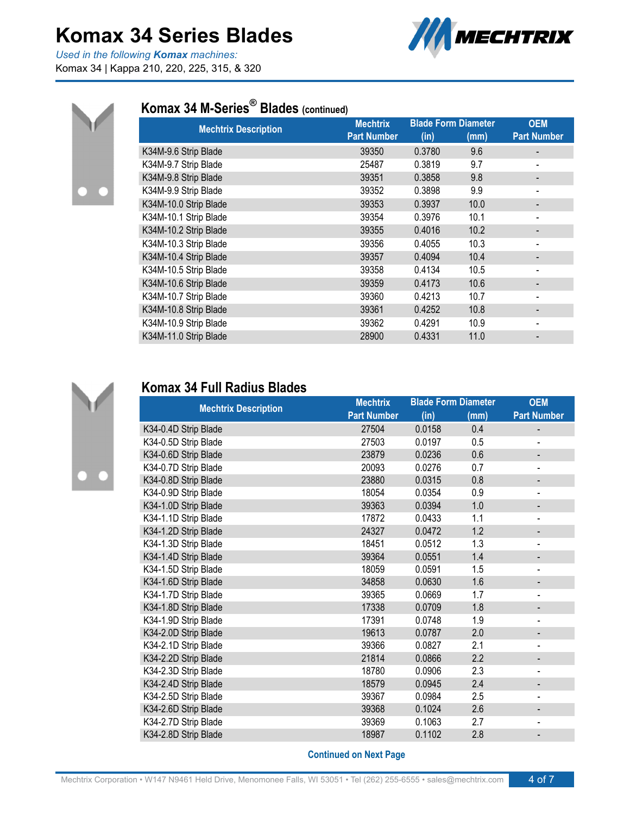*Used in the following Komax machines:* Komax 34 | Kappa 210, 220, 225, 315, & 320





### **Komax 34 M-Series ® Blades (continued)**

| <b>Mechtrix Description</b> | <b>Mechtrix</b>    |        | <b>Blade Form Diameter</b> | <b>OEM</b>                   |
|-----------------------------|--------------------|--------|----------------------------|------------------------------|
|                             | <b>Part Number</b> | (in)   | (mm)                       | <b>Part Number</b>           |
| K34M-9.6 Strip Blade        | 39350              | 0.3780 | 9.6                        |                              |
| K34M-9.7 Strip Blade        | 25487              | 0.3819 | 9.7                        | $\qquad \qquad \blacksquare$ |
| K34M-9.8 Strip Blade        | 39351              | 0.3858 | 9.8                        | -                            |
| K34M-9.9 Strip Blade        | 39352              | 0.3898 | 9.9                        | $\blacksquare$               |
| K34M-10.0 Strip Blade       | 39353              | 0.3937 | 10.0                       |                              |
| K34M-10.1 Strip Blade       | 39354              | 0.3976 | 10.1                       |                              |
| K34M-10.2 Strip Blade       | 39355              | 0.4016 | 10.2                       |                              |
| K34M-10.3 Strip Blade       | 39356              | 0.4055 | 10.3                       | $\overline{\phantom{a}}$     |
| K34M-10.4 Strip Blade       | 39357              | 0.4094 | 10.4                       | $\overline{\phantom{a}}$     |
| K34M-10.5 Strip Blade       | 39358              | 0.4134 | 10.5                       | $\qquad \qquad \blacksquare$ |
| K34M-10.6 Strip Blade       | 39359              | 0.4173 | 10.6                       |                              |
| K34M-10.7 Strip Blade       | 39360              | 0.4213 | 10.7                       |                              |
| K34M-10.8 Strip Blade       | 39361              | 0.4252 | 10.8                       |                              |
| K34M-10.9 Strip Blade       | 39362              | 0.4291 | 10.9                       | $\qquad \qquad \blacksquare$ |
| K34M-11.0 Strip Blade       | 28900              | 0.4331 | 11.0                       |                              |



### **Komax 34 Full Radius Blades**

|                             | <b>Mechtrix</b>    |        | <b>Blade Form Diameter</b> | <b>OEM</b>                   |
|-----------------------------|--------------------|--------|----------------------------|------------------------------|
| <b>Mechtrix Description</b> | <b>Part Number</b> | (in)   | (mm)                       | <b>Part Number</b>           |
| K34-0.4D Strip Blade        | 27504              | 0.0158 | 0.4                        |                              |
| K34-0.5D Strip Blade        | 27503              | 0.0197 | 0.5                        |                              |
| K34-0.6D Strip Blade        | 23879              | 0.0236 | 0.6                        | -                            |
| K34-0.7D Strip Blade        | 20093              | 0.0276 | 0.7                        | $\overline{a}$               |
| K34-0.8D Strip Blade        | 23880              | 0.0315 | 0.8                        |                              |
| K34-0.9D Strip Blade        | 18054              | 0.0354 | 0.9                        | $\blacksquare$               |
| K34-1.0D Strip Blade        | 39363              | 0.0394 | 1.0                        |                              |
| K34-1.1D Strip Blade        | 17872              | 0.0433 | 1.1                        |                              |
| K34-1.2D Strip Blade        | 24327              | 0.0472 | 1.2                        |                              |
| K34-1.3D Strip Blade        | 18451              | 0.0512 | 1.3                        | -                            |
| K34-1.4D Strip Blade        | 39364              | 0.0551 | 1.4                        |                              |
| K34-1.5D Strip Blade        | 18059              | 0.0591 | 1.5                        | $\overline{\phantom{a}}$     |
| K34-1.6D Strip Blade        | 34858              | 0.0630 | 1.6                        |                              |
| K34-1.7D Strip Blade        | 39365              | 0.0669 | 1.7                        |                              |
| K34-1.8D Strip Blade        | 17338              | 0.0709 | 1.8                        |                              |
| K34-1.9D Strip Blade        | 17391              | 0.0748 | 1.9                        | $\overline{\phantom{a}}$     |
| K34-2.0D Strip Blade        | 19613              | 0.0787 | 2.0                        |                              |
| K34-2.1D Strip Blade        | 39366              | 0.0827 | 2.1                        | $\qquad \qquad \blacksquare$ |
| K34-2.2D Strip Blade        | 21814              | 0.0866 | 2.2                        | -                            |
| K34-2.3D Strip Blade        | 18780              | 0.0906 | 2.3                        |                              |
| K34-2.4D Strip Blade        | 18579              | 0.0945 | 2.4                        |                              |
| K34-2.5D Strip Blade        | 39367              | 0.0984 | 2.5                        |                              |
| K34-2.6D Strip Blade        | 39368              | 0.1024 | 2.6                        |                              |
| K34-2.7D Strip Blade        | 39369              | 0.1063 | 2.7                        |                              |
| K34-2.8D Strip Blade        | 18987              | 0.1102 | 2.8                        |                              |
|                             |                    |        |                            |                              |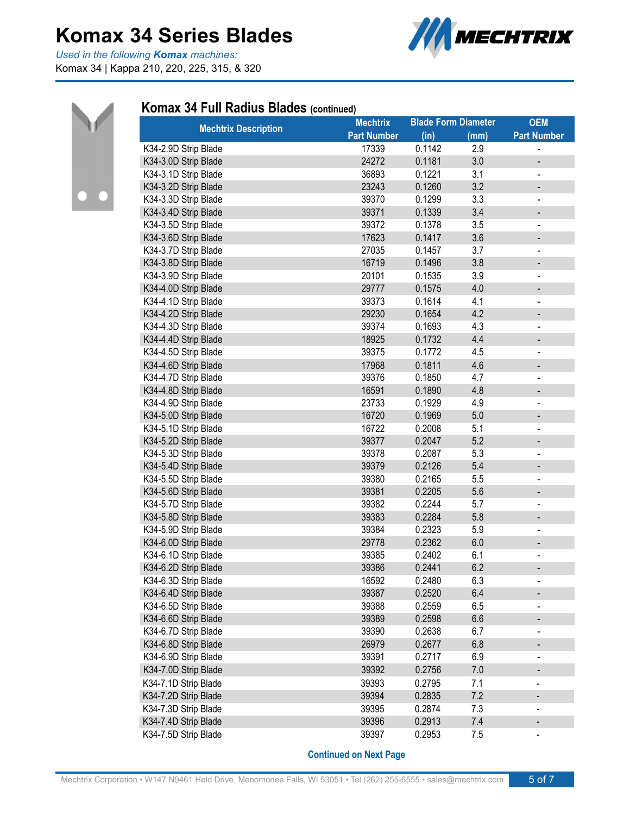*Used in the following Komax machines:* Komax 34 | Kappa 210, 220, 225, 315, & 320





#### **Komax 34 Full Radius Blades (continued)**

| <b>Mechtrix Description</b> | <b>Mechtrix</b>    | <b>Blade Form Diameter</b> |      | <b>OEM</b>                   |
|-----------------------------|--------------------|----------------------------|------|------------------------------|
|                             | <b>Part Number</b> | (in)                       | (mm) | <b>Part Number</b>           |
| K34-2.9D Strip Blade        | 17339              | 0.1142                     | 2.9  |                              |
| K34-3.0D Strip Blade        | 24272              | 0.1181                     | 3.0  | -                            |
| K34-3.1D Strip Blade        | 36893              | 0.1221                     | 3.1  |                              |
| K34-3.2D Strip Blade        | 23243              | 0.1260                     | 3.2  | $\qquad \qquad \blacksquare$ |
| K34-3.3D Strip Blade        | 39370              | 0.1299                     | 3.3  |                              |
| K34-3.4D Strip Blade        | 39371              | 0.1339                     | 3.4  | $\overline{\phantom{m}}$     |
| K34-3.5D Strip Blade        | 39372              | 0.1378                     | 3.5  | -                            |
| K34-3.6D Strip Blade        | 17623              | 0.1417                     | 3.6  | $\qquad \qquad \blacksquare$ |
| K34-3.7D Strip Blade        | 27035              | 0.1457                     | 3.7  | $\qquad \qquad \blacksquare$ |
| K34-3.8D Strip Blade        | 16719              | 0.1496                     | 3.8  | $\overline{\phantom{0}}$     |
| K34-3.9D Strip Blade        | 20101              | 0.1535                     | 3.9  | $\qquad \qquad \blacksquare$ |
| K34-4.0D Strip Blade        | 29777              | 0.1575                     | 4.0  | $\overline{\phantom{0}}$     |
| K34-4.1D Strip Blade        | 39373              | 0.1614                     | 4.1  | $\qquad \qquad \blacksquare$ |
| K34-4.2D Strip Blade        | 29230              | 0.1654                     | 4.2  | $\qquad \qquad \blacksquare$ |
| K34-4.3D Strip Blade        | 39374              | 0.1693                     | 4.3  | $\overline{\phantom{0}}$     |
| K34-4.4D Strip Blade        | 18925              | 0.1732                     | 4.4  |                              |
| K34-4.5D Strip Blade        | 39375              | 0.1772                     | 4.5  | $\overline{\phantom{0}}$     |
| K34-4.6D Strip Blade        | 17968              | 0.1811                     | 4.6  | -                            |
| K34-4.7D Strip Blade        | 39376              | 0.1850                     | 4.7  | $\overline{\phantom{0}}$     |
| K34-4.8D Strip Blade        | 16591              | 0.1890                     | 4.8  |                              |
| K34-4.9D Strip Blade        | 23733              | 0.1929                     | 4.9  |                              |
| K34-5.0D Strip Blade        | 16720              | 0.1969                     | 5.0  | $\overline{\phantom{0}}$     |
| K34-5.1D Strip Blade        | 16722              | 0.2008                     | 5.1  | -                            |
| K34-5.2D Strip Blade        | 39377              | 0.2047                     | 5.2  |                              |
| K34-5.3D Strip Blade        | 39378              | 0.2087                     | 5.3  | $\qquad \qquad \blacksquare$ |
| K34-5.4D Strip Blade        | 39379              | 0.2126                     | 5.4  | $\overline{\phantom{0}}$     |
| K34-5.5D Strip Blade        | 39380              | 0.2165                     | 5.5  |                              |
| K34-5.6D Strip Blade        | 39381              | 0.2205                     | 5.6  | -                            |
| K34-5.7D Strip Blade        | 39382              | 0.2244                     | 5.7  |                              |
| K34-5.8D Strip Blade        | 39383              | 0.2284                     | 5.8  | -                            |
| K34-5.9D Strip Blade        | 39384              | 0.2323                     | 5.9  |                              |
| K34-6.0D Strip Blade        | 29778              | 0.2362                     | 6.0  | -                            |
| K34-6.1D Strip Blade        | 39385              | 0.2402                     | 6.1  | -                            |
| K34-6.2D Strip Blade        | 39386              | 0.2441                     | 6.2  | $\overline{\phantom{0}}$     |
| K34-6.3D Strip Blade        | 16592              | 0.2480                     | 6.3  | -                            |
| K34-6.4D Strip Blade        | 39387              | 0.2520                     | 6.4  |                              |
| K34-6.5D Strip Blade        | 39388              | 0.2559                     | 6.5  | -                            |
| K34-6.6D Strip Blade        | 39389              | 0.2598                     | 6.6  |                              |
| K34-6.7D Strip Blade        | 39390              | 0.2638                     | 6.7  |                              |
| K34-6.8D Strip Blade        | 26979              | 0.2677                     | 6.8  | -                            |
| K34-6.9D Strip Blade        | 39391              | 0.2717                     | 6.9  | -                            |
| K34-7.0D Strip Blade        | 39392              | 0.2756                     | 7.0  |                              |
| K34-7.1D Strip Blade        | 39393              | 0.2795                     | 7.1  |                              |
| K34-7.2D Strip Blade        | 39394              | 0.2835                     | 7.2  |                              |
| K34-7.3D Strip Blade        | 39395              | 0.2874                     | 7.3  |                              |
| K34-7.4D Strip Blade        | 39396              | 0.2913                     | 7.4  |                              |
| K34-7.5D Strip Blade        | 39397              | 0.2953                     | 7.5  | -                            |
|                             |                    |                            |      |                              |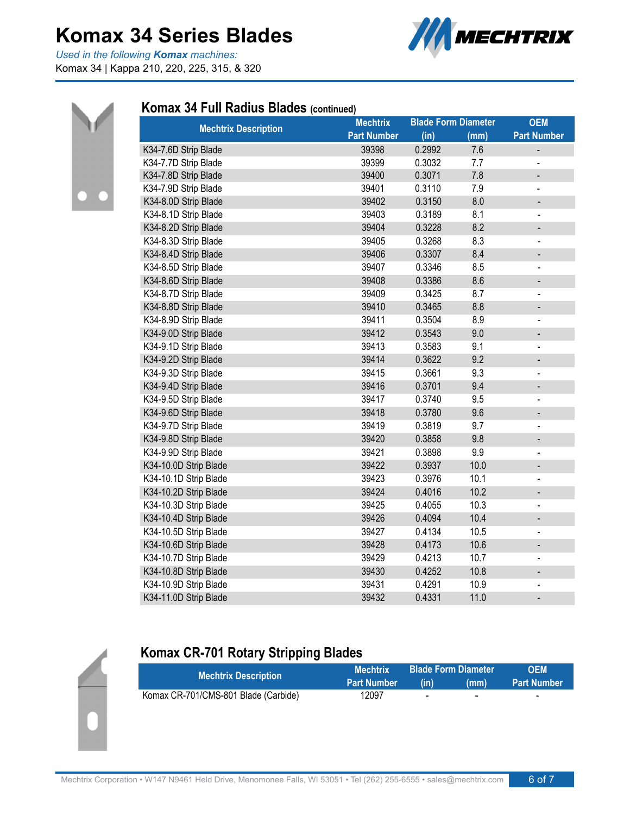*Used in the following Komax machines:* Komax 34 | Kappa 210, 220, 225, 315, & 320





#### **Komax 34 Full Radius Blades (continued)**

| <b>Mechtrix Description</b> | <b>Mechtrix</b>    | <b>Blade Form Diameter</b> |      | <b>OEM</b>                   |
|-----------------------------|--------------------|----------------------------|------|------------------------------|
|                             | <b>Part Number</b> | (in)                       | (mm) | <b>Part Number</b>           |
| K34-7.6D Strip Blade        | 39398              | 0.2992                     | 7.6  | -                            |
| K34-7.7D Strip Blade        | 39399              | 0.3032                     | 7.7  |                              |
| K34-7.8D Strip Blade        | 39400              | 0.3071                     | 7.8  |                              |
| K34-7.9D Strip Blade        | 39401              | 0.3110                     | 7.9  | $\overline{a}$               |
| K34-8.0D Strip Blade        | 39402              | 0.3150                     | 8.0  |                              |
| K34-8.1D Strip Blade        | 39403              | 0.3189                     | 8.1  | $\frac{1}{2}$                |
| K34-8.2D Strip Blade        | 39404              | 0.3228                     | 8.2  | -                            |
| K34-8.3D Strip Blade        | 39405              | 0.3268                     | 8.3  | $\blacksquare$               |
| K34-8.4D Strip Blade        | 39406              | 0.3307                     | 8.4  | -                            |
| K34-8.5D Strip Blade        | 39407              | 0.3346                     | 8.5  | $\qquad \qquad \blacksquare$ |
| K34-8.6D Strip Blade        | 39408              | 0.3386                     | 8.6  | -                            |
| K34-8.7D Strip Blade        | 39409              | 0.3425                     | 8.7  | $\qquad \qquad \blacksquare$ |
| K34-8.8D Strip Blade        | 39410              | 0.3465                     | 8.8  |                              |
| K34-8.9D Strip Blade        | 39411              | 0.3504                     | 8.9  | $\blacksquare$               |
| K34-9.0D Strip Blade        | 39412              | 0.3543                     | 9.0  | -                            |
| K34-9.1D Strip Blade        | 39413              | 0.3583                     | 9.1  | $\frac{1}{2}$                |
| K34-9.2D Strip Blade        | 39414              | 0.3622                     | 9.2  | $\qquad \qquad \blacksquare$ |
| K34-9.3D Strip Blade        | 39415              | 0.3661                     | 9.3  | $\qquad \qquad \blacksquare$ |
| K34-9.4D Strip Blade        | 39416              | 0.3701                     | 9.4  | $\qquad \qquad \blacksquare$ |
| K34-9.5D Strip Blade        | 39417              | 0.3740                     | 9.5  | $\frac{1}{2}$                |
| K34-9.6D Strip Blade        | 39418              | 0.3780                     | 9.6  | -                            |
| K34-9.7D Strip Blade        | 39419              | 0.3819                     | 9.7  |                              |
| K34-9.8D Strip Blade        | 39420              | 0.3858                     | 9.8  | -                            |
| K34-9.9D Strip Blade        | 39421              | 0.3898                     | 9.9  |                              |
| K34-10.0D Strip Blade       | 39422              | 0.3937                     | 10.0 | -                            |
| K34-10.1D Strip Blade       | 39423              | 0.3976                     | 10.1 | -                            |
| K34-10.2D Strip Blade       | 39424              | 0.4016                     | 10.2 | $\qquad \qquad \blacksquare$ |
| K34-10.3D Strip Blade       | 39425              | 0.4055                     | 10.3 | $\overline{\phantom{0}}$     |
| K34-10.4D Strip Blade       | 39426              | 0.4094                     | 10.4 | $\overline{\phantom{a}}$     |
| K34-10.5D Strip Blade       | 39427              | 0.4134                     | 10.5 | $\blacksquare$               |
| K34-10.6D Strip Blade       | 39428              | 0.4173                     | 10.6 | $\qquad \qquad \blacksquare$ |
| K34-10.7D Strip Blade       | 39429              | 0.4213                     | 10.7 | $\frac{1}{2}$                |
| K34-10.8D Strip Blade       | 39430              | 0.4252                     | 10.8 | $\qquad \qquad \blacksquare$ |
| K34-10.9D Strip Blade       | 39431              | 0.4291                     | 10.9 | $\blacksquare$               |
| K34-11.0D Strip Blade       | 39432              | 0.4331                     | 11.0 | $\overline{\phantom{a}}$     |

### **Komax CR-701 Rotary Stripping Blades**

| <b>Mechtrix Description</b>          | <b>Mechtrix</b>    |                          | <b>Blade Form Diameter</b> | <b>OFM</b>               |
|--------------------------------------|--------------------|--------------------------|----------------------------|--------------------------|
|                                      | <b>Part Number</b> | (in)                     | (mm)                       | <b>Part Number</b>       |
| Komax CR-701/CMS-801 Blade (Carbide) | 12097              | $\overline{\phantom{0}}$ | -                          | $\overline{\phantom{0}}$ |